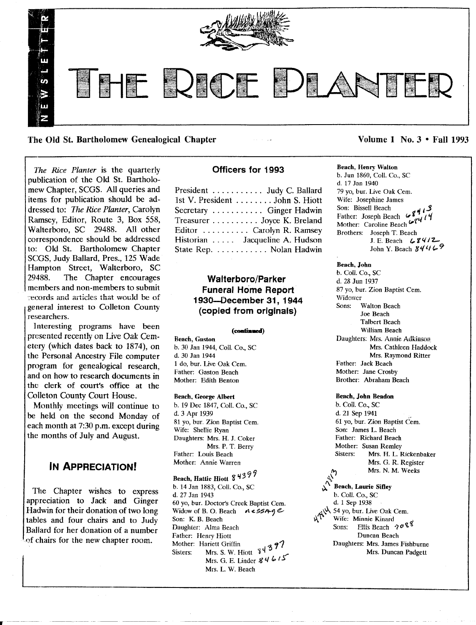

The Old St. Bartholomew Genealogical Chapter Volume 1 No. 3 • Fall 1993

*The Rice Planter* is the quarterly publication of the Old St. Bartholomew Chapter, SCGS. All queries and items for publication should be addressed to: *The Rice Planter,* Carolyn Ramsey, Editor, Route 3, Box 558, Walterboro, SC 29488. All other correspondence should be addressed to: Old St. Bartholomew Chapter SCGS, Judy Ballard, Pres., 125 Wade Hampton Street, Walterboro, SC<br>29488. The Chapter encourages The Chapter encourages members and non-members to submit records and articles that would be of general interest to Colleton County researchers.

Interesting programs have been presented recently on Live Oak Cemetery (which dates back to 1874), on the Personal Ancestry File computer program for genealogical research, and on how to research documents in the clerk of court's office at the Colleton County Court House.

Monthly meetings will continue to be held on the second Monday of each month at 7:30 p.m. except during the months of July and August.

# **IN** ApPRECIATION!

The Chapter wishes to express appreciation to Jack and Ginger Hadwin for their donation of two long tables and four chairs and to Judy Ballard for her donation of a number racies and four chans and to shall<br>Ballard for her donation of a numb<br>of chairs for the new chapter room.

## Officers for 1993

| President Judy C. Ballard       |  |
|---------------------------------|--|
| 1st V. President John S. Hiott  |  |
| Secretary  Ginger Hadwin        |  |
| Treasurer Joyce K. Breland      |  |
| Editor  Carolyn R. Ramsey       |  |
| Historian  Jacqueline A. Hudson |  |
| State Rep. Nolan Hadwin         |  |
|                                 |  |

# Walterboro/Parker Funeral Home Report 1930-0ecember 31, 1944 (copied from originals)

#### (continued)

Beach, Gaston b. 30 Jan 1944, Coli. Co., SC d. 30 Jan 1944 1 do, bur. Live Oak Cern. Father: Gaston Beach Mother: Edith Benton

### Beach, George Albert

b. 19 Dee 1847, Coil. Co., SC d. 3 Apr 1939 81 yo, bur. Zion Baptist Cem. Wife: Shellie Ryan Daughters: Mrs. H. J. Coker Mrs. P. T. Berry Father: Louis Beach Mother: Annie Warren

# Beach, Hattie Hiott 84399

b. 14 Jan 1883, ColI. Co., SC d. 27 Jan 1943 60 yo, bur. Doctor's Creek Baptist Cern. Widow of B. O. Beach  $A \in$  5549 $e$ . Son: K. B. Beach Daughter: Alma Beach Father: Henry Hiott Sisters: Mrs. S. W. Hiott  $3437$ Mrs. G. E. Linder  $84615$ Mrs. L. W. Beach

Beach, Henry Walton b. Jun 1860, ColI. Co., SC d. 17 Jan 1940 79 yo, bur. Live Oak Cem. Wife: Josephine James Father: Joseph Beach  $6\frac{1}{3}$ Mother: Caroline Beach (,  $\ell \ell'$ Brothers: Joseph T. Beach J. E. Beach (\$412) John Y. Beach 8446

#### Beach, John

b. Coli. Co., SC d. 28 Jun 1937 87 yo, bur. Zion Baptist Cern. Widower Sons: Walton Beach Joe Beach Talbert Beach William Beach Daughters: Mrs. Annie Adkinson Mrs. Cathleen Haddock Mrs. Raymond Ritter Father: Jack Beach Mother: Jane Crosby Brother: Abraham Beach

#### Beach, John Beadon

b. Coli. Co., SC d. 21 Sep 1941 61 yo, bur. Zion Baptist Cern. Son: James L. Beach Father: Richard Beach Mother: Susan Remley<br>Sisters: Mrs. H. L. I Mrs. H. L. Rickenbaker Mrs. G. R. Register<br>Mrs. N. M. Weeks

 $\mathcal{A}$  measurements of  $\mathcal{A}$ \).," Beach, Laurie SiDey b. Coli. Co., SC d. 1 Sep 1938  $\mathcal{N}$ . Wife. Minnie Kinard. Wife: Minnie Kinard<br>Sons: Ellis Beach  $208$ Duncan Beach Daughters: Mrs. James Fishburne Mrs. Duncan Padgett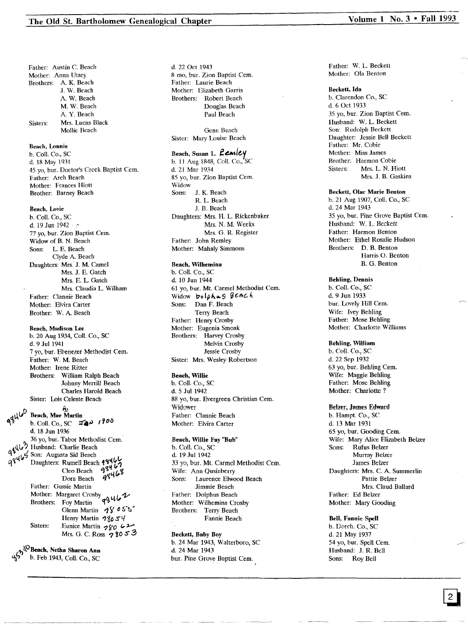# The Old St. Bartholomew Genealogical Chapter Volume 1 No. 3 . Fall 1993

Father: Austin C. Beach Mother: Anna Utsey Brothers: A. K. Beach J. W. Beach A. W. Beach M. W. Beach A. Y. Beach Sisters: Mrs. Lucas Black Mollie Beach

#### Beach, Lonnie

b. Call. Co., SC d. 18 May 1931 45 yo, bur. Doctor's Creek Baptist Cem. Father: Arch Beach Mother: Frances Hiott Brother: Barney Beach

#### Beach, Lovie

b. Call. Co., SC d. 19 Jun  $1942 \cdot$ 77 yo, bur. Zion Baptist Cem. Widow of B. N. Beach Sons: L. E. Beach Clyde A. Beach Daughters: Mrs. J. M. Camel Mrs. J. E. Gatch Mrs. E. L. Gatch Mrs. Claudia L. Wilham Father: Clannie Beach Mother: Elvira Carter Brother: W. A. Beach

#### Beach, Madison Lee

b. 20 Aug 1934, Call. Co., SC d. 9 Jul 1941 7 yo, bur. Ebenezer Methodist Cern. Father: W. M. Beach Mother: Irene Ritter Brothers: William Ralph Beach Johnny Merrill Beach Charles Harold Beach Sister: Lois Celeste Beach

Beach, Mae Martin b. Coll. Co., SC  $\pi \rightarrow$  1900 d. 18 Jun 1936 36 yo, bur. Tabor Methodist Cem.  $\mathbf{S}^{(1)}$  Husband: Charlie Beach q q (16 Son: Augusta Sid Beach<br>q q (16 Son: Augusta Sid Beach Daughters: Rumell Beach  $98467$ <br>Cleo Beach  $98467$ <br>Dave Beach could be Cleo Beach 1777 Father: Gussie Marti Brothers: Foy Martin  $q\ddot{q}$ Glenn Martin 18055 Henry Martin  $9\%$ <sub>0</sub> 5<sup>4</sup> Sisters: .Eunice Martin  $280$  (2) Mrs. G. C. Ross  $78053$ 

 $\sqrt{\Omega}$ Beach, Netha Sharon Ann b. Feb 1943, Coll. Co., SC d. 22 Oct 1943 8 mo, bur. Zion Baptist Cem. Father: Laurie Beach Mother: Elizabeth Garris Brothers: Robert Beach Douglas Beach Paul Beach

Gene Beach Sister: Mary Louise Beach

## Beach, Susan L. **Lemley**

b. 11 Aug 1848, Coll. Co., SC d. 21 Mar 1934 85 yo, bur. Zion Baptist Cern. Widow Sons: J. K. Beach R. L. Beach J. B. Beach Daughters: Mrs. H. L. Rickenbaker Mrs. N. M. Weeks Mrs. G. R. Register Father: John Remley Mother: Mahaly Simmons

#### Beach, Wilhemina

b. Call. Co., SC d. 10 Jun 1944 61 yo, bur. Mt. Carmel Methodist Cern. Widow bolphus Beach Sons: Dan F. Beach Terry Beach Father: Henry Crosby Mother: Eugenia Smoak Brothers: Harvey Crosby Melvin Crosby Jessie Crosby Sister: Mrs. Wesley Robertson

#### Beach, Willie

b. Call. Co., SC d. 5 Jul 1942 88 yo, bur. Evergreen Christian Cern. Widower Father: Clannie Beach Mother: Elvira Carter

#### Beach, Willie Fay "Bub"

b. Coli. Co., SC d. 19 Jul 1942 33 yo, bur. Mt. Carmel Methodist Cem. Wife: Ann Qusinberry Sons: Laurence Elwood Beach Jimmie Beach Father: Dolphus Beach Mother: Wilhemina Crosby Brothers: Terry Beach Fannie Beach

Beckett, Baby Boy b. 24 Mar 1943, Walterboro, SC d. 24 Mar 1943 bur. Pine Grove Baptist Cem.

Father: W. L. Beckett Mother: Ola Benton

#### Beckett. Ida

b. Clarendon Co., SC d. 6 Oct 1933 35 yo, bur. Zion Baptist Cern. Husband: W. L. Beckett Son: Rudolph Beckett Daughter: Jessie Bell Beckett Father: Mr. Cobie Mother: Miss James Brother: Harmon Cobie Sisters: Mrs. L. N. Hiott Mrs. J. B. Gaskins

#### Beckett, Olar Marie Benton

b. 21 Aug 1907, Call. Co., SC d. 24 Mar 1943 35 yo, bur. Pine Grove Baptist Cern. Husband: W. L. Beckett Father: Harmon Benton Mother: Ethel Rosalie Hudson Brothers: D. B. Benton Harris O. Benton B. G. Benton

#### Behling, Dennis

b. Coil. Co., SC d. 9 Jun 1933 bur. Lovely Hill Cem. Wife: Ivey Behling Father: Mose Behling Mother: Charlotte Williams

### Behling, William

b. Call. Co., SC d. 22 Sep 1932 63 yo, bur. Behling Cern. Wife: Maggie Behling Father: Mose Behling Mother: Charlotte?

Belzer, James Edward b. Hampt. Co., SC d. 13 Mar 1931 65 yo, bur. Gooding Cern. Wife: Mary Alice Elizabeth Belzer Sons: Rufus Belzer Murray Belzer James Belzer Daughters: Mrs. C. A. Summerlin Pattie Belzer Mrs. Claud Ballard Father: Ed Belzer Mother: Mary Gooding

#### Bell, Fannie Spell b. Dorch. Co., SC

d. 21 May 1937 54 yo, bur. Spell Cern. Husband: J. R. Bell Sons: Roy Bell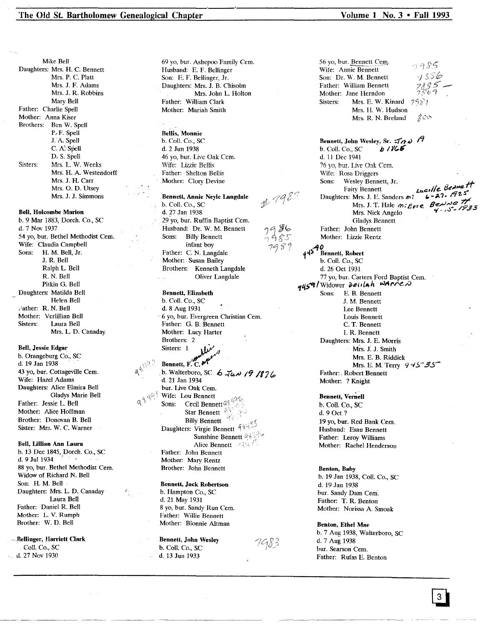#### The Old St. Bartholomew Genealogical Chapter Volume 1 No. 3 • Fall 1993

Mike Bell Daughters: Mrs. H. C. Bennett Mrs. P. C. Platt Mrs. J. F. Adams Mrs. J. R. Robbins Mary Bell Father: Charlie Spell Mother: Anna Kiser Brothers: Ben W. Spell P.F. Spell J.A. Spell C. A: Spell D, S. Spell Sisters: Mrs. L. W. Weeks Mrs. H. A. Westendorff Mrs. J. H. Carr Mrs. O. D. Utsey Mrs. J. J. Simmons

#### Bell, Holcombe Marion

b. 9 Mar 1883, Dorch. Co., SC d. 7 Nov 1937 54 yo, bur. Bethel Methodist Cern. Wife: Claudia Campbell<br>Sons: H. M. Bell, Jr. H. M. Bell, Jr. J. R. Bell Ralph L. Bell R. N. Bell Pitkin G. Bell Daughters: Matilda Bell Helen Bell ;'ather: R. N. Bell Mother: Verlillian Bell Sisters: Laura Bell Mrs. L. D. Canaday

#### Bell, Jessie Edgar

b. Orangeburg Co., SC d. 19 Jan 1938 43 yo, bur. Cottageville Cem. Wife: Hazel Adams Daughters: Alice Elmira Bell Gladys Marie Bell Father: Jessie L. Bell Mother: Alice Hoffman Brother: Donovan B. Bell Sister: Mrs. W. C. Warner

#### Bell, Lillian Ann Laura

b. 13 Dec 1845, Dorch. Co., SC d. 9 Jul 1934 88 yo, bur. Bethel Methodist Cern. Widow of Richard N. Bell Son: H. M. Bell Daughters: Mrs. L. D. Canaday Laura Bell Father: Daniel R. Bell Mother: L. V. Rumph Brother: W. D. Bell

-Bellinger, Harriett Clark CoIl. Co., SC d. 27 Nov 1930

69 yo, bur. Ashepoo Family Cern. Husband: E. F. Bellinger Son: E. F. Bellinger, Jr. Daughters: Mrs. J. B. Chisolm Mrs. John L. Holton Father: William Clark Mother: Mariah Smith

Bellis, Monnie b. Coli. Co., SC d. 2 Jun 1938 46 vo. bur. Live Oak Cem. Wife: Lizzie Bellis Father: Shelton Bellis Mother: Clory Devine

#### Bennett, Annie Neyle Langdale

 $1/198$ 

7986  $1485$ 7989

b. Call. Co., SC d. 27 Jan 1938 29 yo, bur. Ruffin Baptist Cem. Husband: Dr. W. M. Bennett Sons: Billy Bennett infant boy Father: C. N. Langdale Mother: Susan Bailey Brothers: Kenneth Langdale Oliver Langdale

Bennett, Elizabeth b. Call. Co., SC d. 8 Aug 1931 6 yo, bur. Evergreen Christian Cern. Father: G. B. Bennett Mother: Lucy Harter Brothers: 2

# Sisters: 1<br>Bennett, F.C. or<sup>4</sup> b. Walterboro, SC *b*  $\vec{a}$ *w* **19 /87** *(b* d. 21 Jan 1934) bur. Live Oak Cem. Wife: Lou Bennett Sons: Cecil Bennett  $a_1^q$ Star Bennett<sup>2</sup><br>Billy Bennett Billy Bennett Daughters: Virgie Bennet Sunshine Bennett 43 Alice Bennett

Father: John Bennett Mother: Mary Rentz Brother: John Bennett

#### Bennett, Jack Robertson

b. Hampton Co., SC d. 21 May 1931 8 yo, bur. Sandy Run Cem. Father: Willie Bennett Mother: Blonnie Altman

Bennett, John Wesley b. Coli. Co., SC d. 13 Jun 1933

56 yo, bur. Bennett Cem.  $0985$ Wife: Annie Bennett  $1586$ Son: Dr. W. M. Bennett Father: William Bennett Mother: Jane Herndon Sisters: Mrs. E. W. Kinard 29% Mrs. H. W. Hudson Mrs. R. N. Breland 800

Bennett, John Wesley, Sr.  $\pi_{A}$  /1<br>b. Coll. Co., SC *h* /*YG* b. Coll. Co., SC d. 11 Dee 1941 76 vo, bur. Live Oak Cem. Wife: Rosa Driggers<br>Sons: Wesley Bennett, Jr. Sons: Wesley Bennett, Jr.<br>Equivalencetted and the Beamett Fairy Bennett<br>rs: Mrs. J. E. Sanders m. L**-27:** G25 Daughters: Mrs. J. E. Sanders *m*:  $\overline{c} \overline{r}$ <br>Mrs. J. T. Hale *m:*  $\overline{c} \mu r \overline{c}$  *Be.* Mrs. Nick Angelo. Gladys Bennett Father: John Bennett Mother: Lizzie Rentz

,-tiO *q04)* Bennett, Robert b. Call. Co., SC d. 26 Oct 1931 77 yo, bur. Carters Ford Baptist Cern. *'ft(>~/Widower* ~811'lf+h *wl4('re.tO* Sons: E. B. Bennett J. M. Bennett Lee Bennett Louis Bennett C. T. Bennett 1. R. Bennett Daughters: Mrs. J. E. Morris Mrs. J: J. Smith Mrs. E. B. Riddick Mrs. E. M. Terry 945<sup>-35</sup> Father: . Robert Bennett Mother: ? Knight

> Bennett, Vernell b. Coil. Co., SC d.90ct? 19 yo, bur. Red Bank Cem. Husband: Esau Bennett Father: Leroy Williams Mother: Rachel Henderson

#### Benton, Baby b. 19 Jan 1938, Coil. Co., SC d. 19 Jan 1938 bur. Sandy Dam Cern. Father: T. R. Benton Mother: Norissa A. Smoak

Benton, Ethel Mae b. 7 Aug 1938, Walterboro, SC d. 7 Aug 1938 bur. Searson Cern. Father: Rufas E. Benton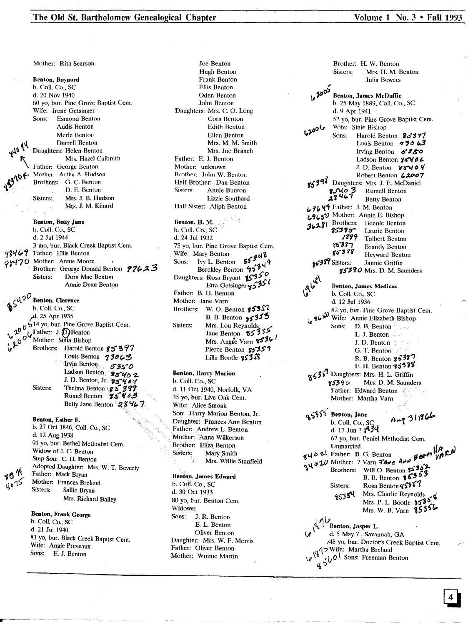Mother: Rita Searson

Benton, Baynard b. Call. Co., SC d. 20 Nov 1940 60 yo, bur. Pine Grove Baptist Cern. Wife: Irene Getsinger<br>Sons: Esmond Bento Esmond Benton Audis Benton Merle Benton Darrell.Benton Daughters: Helen Benton Mrs. Hazel Culbreth Father: George Benton Mother: Artha A. Hudson Brothers: G. C. Benton D. E. Benton Sisters: Mrs. J. B. Hudson Mfs. J. M. Kinard

Benton, Betty Jane b. Call. Co., SC d. 2 Jul 1944 3 rno, bur. Black Creek Baptist Cern. 98469 Father: Ellis Benton 98470 Mother: Annie Moore Brother: George Donald Benton 77623<br>Sisters: Dora Mae Benton Dora Mae Benton Annie Dean Benton

 $\lambda^{\mathsf{O}\,\boldsymbol{\vee}}$  Benton, Clarence b. Coll. Co., SC<br>d. 25 Apr 1935,  $\mu$ u. 25 Apr 1935  $\sigma$ <sup>-14</sup> yo, but. The Grove Baptist Cent. **o** *C* Mother: Sima Bishop<br> *o P* Brothers: Harold Benton 85 397 Brothers: Harold Benton  $8537$ <br>Louis Benton  $73063$ Irvin Benton<sub>e</sub> 5350 Ladson Benton  $85462$ J. D. Benton, Jr. 95404 Sisters: Thelma Benton  $\& S$  398 Rumel Benton **75'4'** Betty Jane Benton  $28427$ 

> Benton, Esther E. b. 27 Oct 1846, Call. Co., SC d. 12 Aug 1938 91 yo, bur. Bethel Methodist Cern. Widow of J. C. Benton Step Son: C. II. Benton Adopted Daughter: Mrs. W. T. Beverly Father: Mack Bryan Mother: Frances Breland Sisters: Sallie Bryan Mrs. Richard Bailey

Benton, Frank George b. Call. Co., SC d. 21 Jul 1940 81 yo, bur. Black Creek Baptist Cern. Wife: Angie Preveaux Sons: E. J. Benton

Benton, H. M. b. Call. Co., SC Joe Benton Hugh Benton Frank Benton Ellis Benton Oden Benton John Benton Daughters: Mrs. C. O. Long Cora Benton Edith Benton Ellen Benton Mrs. M. M. Smith Mrs. Joe Branch Father: E. J. Benton Mother: unknown Brother: John W. Benton Half Brother: Dan Benton Sisters: Annie Bunton Lizzie Southard Half Sister: Aliph Benton

Sisters: d. 24 Jul 1932 75 yo, bur. Pine Grove Baptist Cem.<br>Wife: Mary Benton Sons:  $\frac{1}{\sqrt{2}}$  L. Benton  $\frac{3}{4}$ Sons: Ivy L. Benton **by 44**<br>Berckley Benton **9534** Daughters: Rosa Bryant 13550<br>Etta Getsinger 45351<br>Father: B. G. Benton Mother: Jane Varn Brothers: W. O. Benton  $555\%$ B. B. Benton  $3535$ Mrs. Lou Reynolds<br>Jane Benton 85355 Mrs. Ang**i**e Varn **9536** Pierce Benton 85357 Lilla Bootle  $953\%$ 

Benton, Harry Marion b. Call. Co., SC

d. 11 Oct 1940, Norfolk, VA 3S yo, bur. Uve Oak Cern. Wife: Alice Smoak Son: Harry Marion Benton, Jr. Daughter: Frances Ann Benton Father: Andrew L. Benton Mother: Anna Wilkerson Brother: Eliza Benton<br>Sisters: Mary Smith Mary Smith Mrs. Willie Stanfield

#### Benton, James Edward

b. Colf. Co., SC d. 30 Oct 1933 80 yo, bur. Benton Cem. Widower Sons: J. R. Benton E. L. Benton Oliver Benton Daughter: Mrs. W. F. Morris Father: Oliver Benton Mother: Winnie Martin

|                                           | Brother: H. W. Benton                                                              |                                                                         |
|-------------------------------------------|------------------------------------------------------------------------------------|-------------------------------------------------------------------------|
|                                           | Sisters:                                                                           | Mrs. H. M. Benton                                                       |
|                                           |                                                                                    | Julia Bowers                                                            |
| 62005                                     |                                                                                    |                                                                         |
|                                           | <b>Benton, James McDuffie</b>                                                      |                                                                         |
|                                           | b. 25 May 1889, Coll. Co., SC<br>d. 9 Apr 1941                                     |                                                                         |
|                                           |                                                                                    | 52 yo, bur. Pine Grove Baptist Cem.                                     |
|                                           | Wife: Sinie Bishop                                                                 |                                                                         |
| ماەەدى                                    | Sons:                                                                              | Harold Benton 85377                                                     |
|                                           |                                                                                    | Louis Benton $\rightarrow 30.43$                                        |
|                                           |                                                                                    | Irving Benton 5350                                                      |
|                                           |                                                                                    | Ladson Benton 35462                                                     |
|                                           |                                                                                    | J.D. Benton $85404$                                                     |
|                                           |                                                                                    | Robert Benton 62007                                                     |
|                                           | 85398 Daughters: Mrs. J. E. McDaniel                                               |                                                                         |
|                                           | 28467                                                                              | Rumell Benton                                                           |
|                                           |                                                                                    | <b>Betty Benton</b>                                                     |
|                                           | 69649 Father: J. M. Benton<br>69650 Mother: Annie E. Bishop                        |                                                                         |
|                                           | 36281 Brothers: Bennie Benton                                                      |                                                                         |
|                                           |                                                                                    |                                                                         |
|                                           | $\frac{25385}{1877}$ Laurie Benton                                                 |                                                                         |
|                                           | $85387$ Brantly Benton<br>$85387$ Heyward Benton                                   |                                                                         |
|                                           |                                                                                    |                                                                         |
|                                           | 85389 Sisters:                                                                     | Jannie Griffin                                                          |
|                                           |                                                                                    | 85390 Mrs. D. M. Saunders                                               |
|                                           |                                                                                    |                                                                         |
|                                           | <b>Benton, James Medicus</b>                                                       |                                                                         |
|                                           | b. Coll. Co., SC<br>d. 12 Jul 1936                                                 |                                                                         |
|                                           |                                                                                    | 82 yo, bur. Pine Grove Baptist Cem.                                     |
| 4650                                      | Wife: Annie Elizabeth Bishop                                                       |                                                                         |
|                                           | Sons:                                                                              | D. B. Benton                                                            |
|                                           |                                                                                    | L. J. Benton $\mathbb{R}^n$                                             |
|                                           |                                                                                    | J. D. Benton $\mathbb{R}$                                               |
|                                           |                                                                                    | G. T. Benton $f^{\text{max}}$                                           |
|                                           |                                                                                    | R. B. Benton g \$397                                                    |
|                                           |                                                                                    | E. H. Benton 95388                                                      |
|                                           | 85387 Daughters: Mrs. H. L. Griffin                                                |                                                                         |
|                                           | 85390<br>Father: Edward Benton                                                     | Mrs. D. M. Saunders                                                     |
|                                           | Mother: Martha Varn                                                                |                                                                         |
|                                           |                                                                                    |                                                                         |
|                                           | 5355 Benton, Jane                                                                  |                                                                         |
| યુરુ                                      | b. Coll. Co., SC                                                                   | Aug 311866                                                              |
|                                           | d. 17 Jun ? 1934                                                                   |                                                                         |
|                                           | 67 yo, bur. Peniel Methodist Cem.                                                  |                                                                         |
|                                           |                                                                                    | guo W Mother: B. G. Benton<br>guo W Mother: ? Varn Three AND Benth VARN |
|                                           |                                                                                    |                                                                         |
|                                           |                                                                                    |                                                                         |
|                                           |                                                                                    | Will O. Benton 15397                                                    |
|                                           | Sisters:                                                                           | Rosa Benton g 5357                                                      |
|                                           |                                                                                    | 85354 Mrs. Charlie Reynolds                                             |
|                                           |                                                                                    | Mrs. P. L. Bootle $5535$                                                |
|                                           |                                                                                    | Mrs. W. B. Varn 85356                                                   |
| $\mathcal{M}^{\mathcal{A}^{\mathcal{A}}}$ |                                                                                    |                                                                         |
|                                           | Benton, Jasper L.                                                                  |                                                                         |
|                                           | d. 5 May ?, Savannah, GA                                                           |                                                                         |
|                                           |                                                                                    | /48 yo, bur. Doctor's Creek Baptist Cem.                                |
|                                           | 48 yo, bur. Doctor's Cr<br>(17 Wife: Martha Breland<br>(2 \, 10 \, 500s: Freeman B |                                                                         |
|                                           | $\frac{1}{4}$ $5\sqrt{0}$ Sons: Freeman Benton                                     |                                                                         |
|                                           |                                                                                    |                                                                         |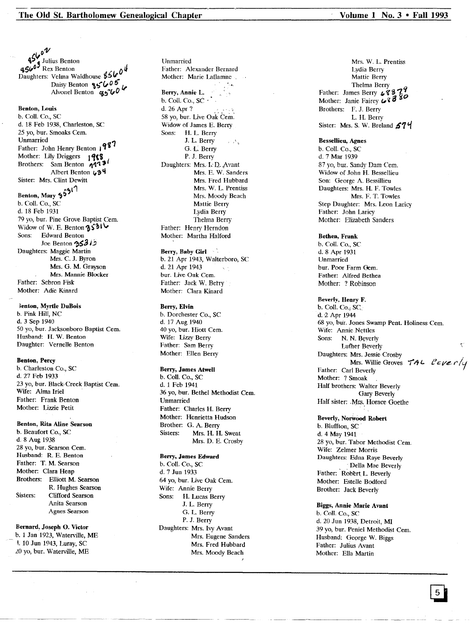*,,01'*  $-45\%$  Julius Benton<br>4560<sup>9</sup> Rex Benton 450 Rex Benton<br>Daughters: Velma Waldhouse 850<sup>0</sup> Daisy Benton **85 6000**<br>Alvonel Benton **c65<sup>-60</sup>** Benton, Louis b. Call. Co., SC d. 18 Feb 1938, Charleston, SC 25 yo, bur. Smoaks Cem.<br>Unmarried Unmarried<br>Father: John Henry Benton 1987 Mother: Lily Driggers 1988 Brothers: Sam Benton 1113 Albert Benton 434 Sister: Mrs. Clint Dewitt Benton, Mary §5<sup>317</sup> b. Coli. Co., SC d. 18 Feb 1931 79 yo, bur. Pine Grove Baptist Cern. Widow of W. E. Benton  $3501\,$ <br>Sons: Edward Benton Joe Benton  $3312$ Daughters: Maggie Martin Mrs. C. J. Byron Mrs. G. M. Grayson Mrs. Mannie Blocker Father: Sebron Fisk Mother: Adie Kinard

#### lenton, Myrtle DuBois

b. Pink Hill, NC d. 3 Sep 1940 50 yo, bur. Jacksonboro Baptist Cem. Husband: H. W. Benton Daughter: Vernelle Benton

#### Benton, Percy

b. Charleston Co., SC d. 27 Feb 1933 23 yo, bur. Black·Creek Baptist Cern. Wife: Alma Iriel Father: Frank Benton Mother: Lizzie Petit

### Benton, Rita Aline Searson

b. Beaufort Co., SC d. 8 Aug 1938 28 yo, bur. Searson Cern. Husband: R. E. Benton Father: T. M. Searson Mother: Clara Heap Brothers: Elliott M. Searson R. Hughes Searson Sisters: Clifford Searson Anita Searson Agnes Searson

### Bernard, Joseph O. Victor

b. 1 Jan 1923, Waterville, ME 1. 10 Jun 1943, Luray, SC 20 yo, bur. Waterville, ME

Unmarried Father: Alexander Bernard Mother: Marie Laflamne. Berry, Annie L. b. Coll. Co., SC  $\cdot$ d. 26 Apr? 58 yo, bur. Live Oak Cern: Widow of James E. Berry Sons: H. L. Berry J. L. Berry G.L. Berry P. J. Berry Daughters: Mrs. I. D. Avant Mrs. E. W. Sanders Mrs. Fred Hubbard Mrs. W. L. Prentiss Mrs. Moody Beach Mattie Berry Lydia Berry Thelma Berry Father: Henry Herndon Mother: Martha Halford

### Berry, Baby Girl

b. 21 Apr 1943, Walterboro, SC d. 21 Apr 1943 bur. Live Oak Cem. Father: Jack W. Betry Mother: Clara Kinard

#### Berry, Elvin

b. Dorchester Co., SC d. 17 Aug 1940 40 yo, bur. Hiott Cem. Wife: Lizzy Berry Father: Sam Berry Mother: Ellen Berry

#### Berry, James Atwell

b. Call. Co., SC d. 1 Feb 1941 36 yo, bur. Bethel Methodist Cern. Unmarried Father: Charles H. Berry Mother: Henrietta Hudson Brother: G. A. Berry<br>Sisters: Mrs. H. H Mrs. H. H. Sweat Mrs. D. E. Crosby

### Berry, James Edward b. Call. Co., SC d. 7 Jun 1933 64 yo, bur. Live Oak Cern. Wife: Annie Berry<br>Sons: H. Lucas B H. Lucas Berry J. L. Berry G. L. Berry P. J. Berry Daughters: Mrs. Ivy Avant Mrs. Eugene Sanders Mrs. Fred Hubbard Mrs. Moody Beach

Mrs. W. L. Prentiss Lydia Berry Mattie Berry Thelma Berry<br>Father: James Berry 4837 Mother: Janie Fairey  $68380$ Brothers: F. J. Berry L. H. Berry Sister: Mrs. S. W. Breland  $574$ 

#### Bessellieu, Agnes

b. Call. Co., SC d. 7 Mar 1939 87 vo, bur. Sandy Dam Cem. Widow of John H. Bessellieu Son: George A. Bessillieu Daughters: Mrs. H. F. Towles Mrs. F. T. Towles Step Daughter: Mrs. Leon Laricy Father: John Laricy Mother: Elizabeth Sanders

#### Bethea, Frank b. Call. Co., SC

d. 8 Apr 1931 Unmarried bur. Poor Farm Oem. Father: Alfred Bethea Mother: ? Robinson

#### Beverly. Henry F. b. Call. Co.; Sc.

d. 2 Apr 1944 68 yo, bur. Jones Swamp Pent. Holiness Cern. Wife: Annie Nettles<br>Sons: N. N. Beverl N. N. Beverly Luther Beverly Daughters: Mrs. Jessie Crosby Mrs. Willie Groves *TAL Leverly*<br>Father: Carl Beverly Mother: ? Smoak Half brothers: Walter Beverly Gary Beverly Half sister: Mrs. Horace Goethe

#### Beverly, Norwood Robert b. Bluffton, SC d. 4 May 1941 28 yo, bur. Tabor Methodist Cem. Wife: Zelmer Morris Daughters: Edna Raye Beverly Della Mae Beverly Father: Robert L. Beverly Mother: Estelle Bodford Brother: Jack Beverly

#### Biggs, Annie Marie Avant b. Coil. Co., SC

d. 20 Jun 1938, Detroit, MI 39 yo, bur. Peniel Methodist Cern. Husband: George W. Biggs Father: Julius Avant Mother: Ella Martin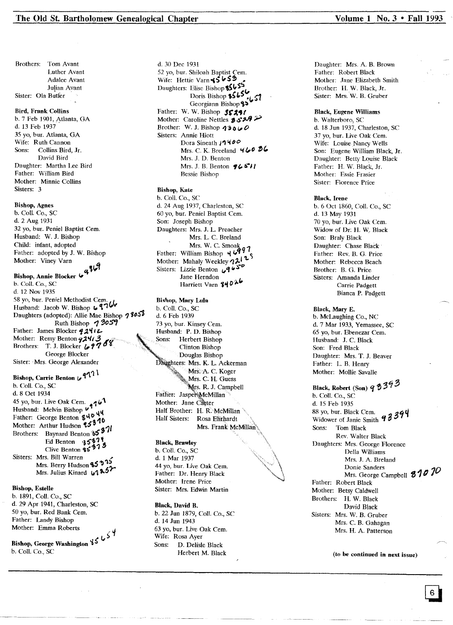Brothers: Tom Avant Luther Avant Adalee Avant Julian Ayant Sister: Ola Butier

#### Bird, Frank Collins

b. 7 Feb 1901, Atlanta, GA d. 13 Feb 1937 35 yo, bur. Atlanta, GA Wife: Ruth Cannon Sons: Collins Bird, Jr. David Bird Daughter: Martha Lee Bird Father: William Bird Mother: Minnie Collins Sisters: 3

#### Bishop, Agnes

b. Call. Co., SC d. 2 Aug 1931 32 yo, bur. Peniel Baptist Cem. Husband: W. J. Bishop Child: infant, adopted Father: adopted by J. W. Bishop<br>Mother: Viney Varn  $\mathbf{u}^{\mathrm{u}}$ 

Bishop, Annie Blocker � b. Coli. Co., SC d. 12 Nov 1935 58 yo, bur. Peniel Methodist Cem.<br>Husband: Jacob W. Bishop  $\bigcup_{n=1}^{\infty}$ Daughters (adopted): Allie Mae Bishop **1**9059 Father: James Blocker **92412**<br>Mother: Remy Benton **92413** Brothers: T. J. Blocker (, 17<sup>4</sup> George Blocker Sister: Mrs. George Alexander Bishop, Carrie Benton  $\sqrt{1^2}$ 

b. Call. Co., SC d. 8 Oct 1934 45 yo, bur. Live Oak Cem.<br>Husband: Melvin Bishop  $\mathbf{v}_1^4$ Hather: George Benton 840 44 Mother: Arthur Hudson 25310 Mother: Arthur Hudson **'s** 37 Ed Benton 3537 Mrs. Berry Hudson 85 <sup>275</sup> Mrs. Julius Kinard  $1.125$ 

#### Bishop, Estelle

b. 1891, Call. Co., SC d. 29 Apr 1941, Charleston, SC 50 yo, bur. Red Bank Cern. Father: Landy Bishop

<sup>۲</sup> ک<sup>ی </sup> ک<sup>ے</sup> کا Bishop, George Washington کا کا b. Call. Co., SC

d. 30 Dec 1931 52 yo, bur. Shiloah Baptist Cern. Wife: Hettie Varn \$5 **b 53** Daughters: Elise Bishop 85655 Doris Bishop \$5656 Father: W. W. Bishop 55291 Mother: Caroline Nettles 3529 Brother: W. J. Bishop  $23000$ Sisters: Annie Hiott Dora Sineath 17400 Mrs. C. K. Breeland *460 36* Mrs. J. D. Benton Mrs. J. B. Benton  $96511$ Bessie Bishop

#### Bishop, Kate

b. Call. Co., SC d. 24 Aug 1937, Charleston, SC 60 yo, bur. Peniel Baptist Cern. Son: Joseph Bishop Daughters: Mrs. J. L Preacher Mrs. L. C. Breland Mrs. W. C. Smoak<br>Father: William Bishop 4699 Father: William Bishop  $\forall$   $\forall$  ,  $\forall$   $\forall$ Mother: Mahaly Weekley  $\eta_{\mathcal{L}_n}$ . Sisters: Lizzie Benton **9650**<br>Jane Herndon Harriett Varn 84026

Bishop, Mary Lula b. Coli. Co., SC d.6 Feb 1939 73 yo, bur. Kinsey Cem. Husband: P. D. Bishop Sons: Herbert Bishop Clinton Bishop Douglas Bishop Daughters: Mrs. K. L. Ackerman Mrs. A. C. Koger<br>Mrs. C. H. Guess s. R. J. Campbell Father: Jasper McMillan Mother: Jane Caster Half Brother: H. R. McMillan Half Sisters: Rosa Elirhardt Mrs. Frank McMillan

# **Black**, Brawley

b. Call. Co., SC d. 1 Mar 1937 44 yo, bur. Live Oak Cern. Father: Dr. Henry Black Mother: Irene Price Sister: Mrs. Edwin Martin

Black. David B. b. 22 Jun 1879, ColI. Co., SC d. 14 Jun 1943 63 yo, bur. Live Oak Cem. Wife: Rosa Ayer<br>Sons: D. Delisle D. Delisle Black Herbert M. Black

Daughter: Mrs. A. B. Brown Father: Robert Black Mother: Jane Elizabeth Smith Brother: H. W. Black, Jr. Sister: Mrs, W. B. Gruber

#### Black. Eugene Williams

b. Walterboro, SC d. 18 Jun 1937, Charleston, SC 37 yo, bur. Live Oak Cern. Wife: Louise Nancy Wells Son: Eugene William Black, Jr. Daughter: Betty Louise Black Father: H. W. Black, Jr. Mother: Essie Frasier Sister: Florence Price

#### Black. Irene

b. 6 Oct 1860, Call. Co., SC d. 13 May 1931 70 yo, bur. Live Oak Cem. Widow of Dr: H. W. Black Son: Braly Black Daughter: Chase Black' Father: Rev. B. G. Price Mother: Rebecca Beach Brother: B. G. Price Sisters: Amanda Linder Carrie Padgett Bianca P. Padgett

#### Black. Mary E.

b. McLaughing Co., NC d. 7 Mar 1933, Yemassee, SC 65 yo, bur. Ebenezar Cern. Husband: J. C. Black Son: Fred Black Daughter: Mrs. T. J. Beaver Father: L. B. Henry Mother: Mollie Savalle

# Black, Robert (Son)  $9393$

b. Call. Co., sc d. 15 Feb 1935 Widower of Janie Smith  $93394$ Sons: Tom Black Rev. Walter Black Daughters: Mrs. George Florence Della Williams Mrs. J. A. Breland Donie Sanders Mrs. George Campbell *~1tJ 70*Father: Robert Black Mother: Betsy Caldwell Brothers: II. W. Black David Black Sisters: Mrs. W. B. Gruber Mrs. C. B. Gahagan Mrs. H. A. Patterson

(to be continued in next issue)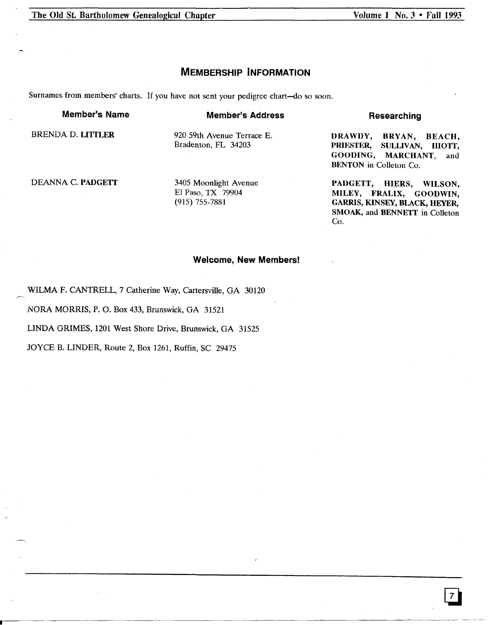The Old St. Bartholomew Genealogical Chapter

Volume 1 No. 3 • Fall 1993

GARRIS, KINSEY, BLACK, HEYER, SMOAK, and BENNETT in Colleton

Co.

# **MEMBERSHIP INFORMATION**

Surnames from members' charts. If you have not sent your pedigree chart-do so soon.

**Member's Name** BRENDA D. LITILER DEANNA C. PADGETI **Member's Address** 920 59th Avenue Terrace E. Bradenton, FL 34203 3405 Moonlight Avenue **Researching** DRAWDY, BRYAN, BEACH,<br>PRIESTER, SULLIVAN, HIOTT, SULLIVAN, HIOTT, GOODING, MARCHANT, and BENTON in Colleton Co. PADGETT, HIERS, WILSON, MILEY, FRALIX, GOODWIN,

EI Paso, TX 79904 (915) 755-7881

# **Welcome, New Members!**

WILMA F. CANTRELL, 7 Catherine Way, Cartersville, GA 30120

NORA MORRIS, P. O. Box 433, Brunswick, GA 31521

LINDA GRIMES, 1201 West Shore Drive, Brunswick, GA 31525

JOYCE B. LINDER, Route 2, Box 1261, Ruffin, SC 29475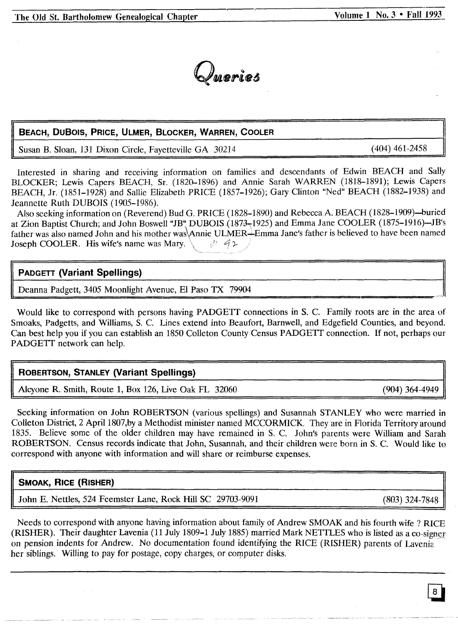

# **BEACH, DuBoIS, PRICE, ULMER, BLOCKER, WARREN, COOLER**

Susan B. Sloan, 131 Dixon Circle, Fayetteville GA 30214

(404) 461-2458

Interested in sharing and receiving information on families and descendants of Edwin BEACH and Sally BLOCKER; Lewis Capers BEACH, Sr. (1820-1896) and Annie Sarah WARREN (1818-1891); Lewis Capers BEACH, Jr. (1851-1928) and Sallie Elizabeth PRICE (1857-1926); Gary Clinton "Ned" BEACH (1882-1938) and Jeannette Ruth DUBOIS (1905-1986).

Also seeking information on (Reverend) Bud G. PRICE (1828-1890) and Rebecca A. BEACH (1828-1909)-buried at Zion Baptist Church; and John Boswell "JB" DUBOIS (1873-1925) and Emma Jane COOLER (1875-1916)-JB's father was also named John and his mother was Annie ULMER-Emma Jane's father is believed to have been named<br>Joseph COOLER. His wife's name was Mary. Joseph COOLER. His wife's name was Mary.

# **PADGETT (Variant Spellings)**

Deanna Padgett, 3405 Moonlight Avenue, El Paso TX 79904

Would like to correspond with persons having PADGETT connections in S. C. Family roots are in the area of Smoaks, Padgetts, and Williams, S. C. Lines extend into Beaufort, Barnwell, and Edgefield Counties, and beyond. Can best help you if you can establish an 1850 Colleton County Census PADGETI connection. If not, perhaps our PADGETT network can help.

# **ROBERTSON, STANLEY (Variant Spellings)**

Alcyone R. Smith, Route 1, Box 126, Live Oak FL 32060 (904) 364-4949

Seeking information on John ROBERTSON (various spellings) and Susannah STANLEY who were married in Colleton District, 2 April 1807,by a Methodist minister named MCCORMICK. They are in Florida Territory around 1835. Believe some of the older children may have remained in S. C. John's parents were William and Sarah ROBERTSON. Census records indicate that John, Susannah, and their children were born in S. C. Would like to correspond with anyone with information and will share or reimburse expenses.

# **SMOAK, RICE (RISHER)**

John E. Nettles, 524 Feemster Lane, Rock Hill SC 29703-9091 (803) 324-7848

Needs to correspond with anyone having information about family of Andrew SMOAK and his fourth wife? RICE (RISHER). Their daughter Lavenia (11 July 1809-1 July 1885) married Mark NETTLES who is listed as a co-signer on pension indents for Andrew. No documentation found identifying the RICE (RISHER) parents of Lavenia her siblings. Willing to pay for postage, copy charges, or computer disks.